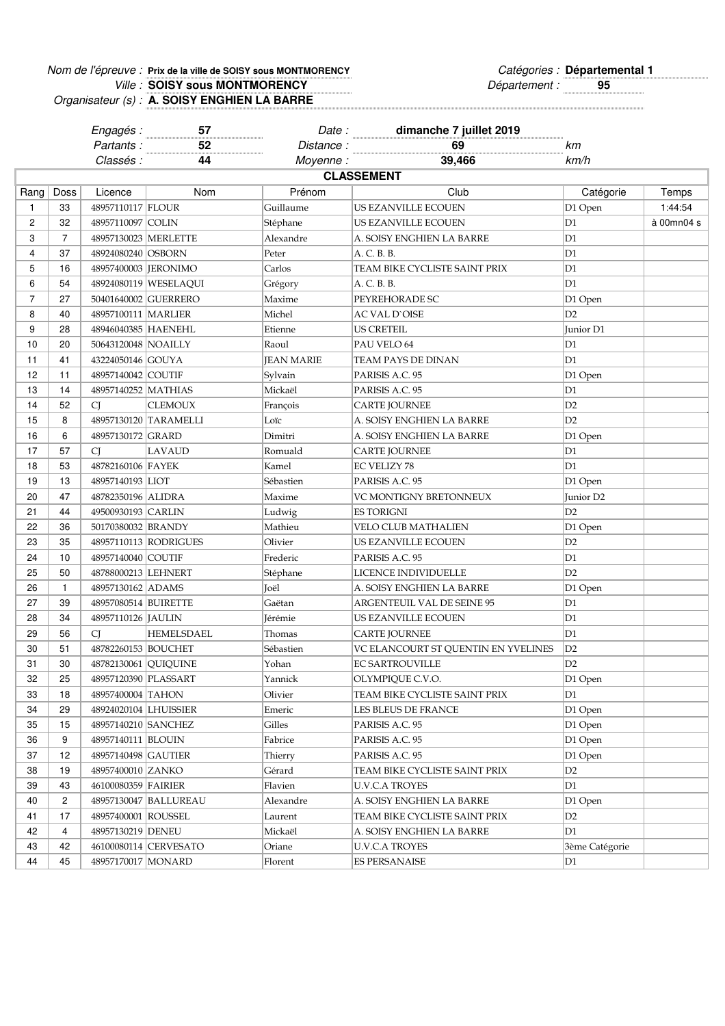## Nom de l'épreuve : Prix de la ville de SOISY sous MONTMORENCY<br>
Catégories : Départemental 1 **Prix de la ville de SOISY sous MONTMORENCY Départemental 1**

Ville : **SOISY sous MONTMORENCY CONSEX EXECUTE:** Département : **95** Organisateur (s) : **SOISY sous MONTMORENCY A. SOISY ENGHIEN LA BARRE**

|                   |                | Engagés :              | 57                    | Date:             | dimanche 7 juillet 2019             |                |            |  |
|-------------------|----------------|------------------------|-----------------------|-------------------|-------------------------------------|----------------|------------|--|
|                   |                | Partants:              | 52                    | Distance:         | 69                                  | km             |            |  |
|                   |                | Classés :              | 44                    | Moyenne:          | 39,466                              | km/h           |            |  |
| <b>CLASSEMENT</b> |                |                        |                       |                   |                                     |                |            |  |
| Rang              | Doss           | Licence                | Nom                   | Prénom            | Club                                | Catégorie      | Temps      |  |
| $\mathbf{1}$      | 33             | 48957110117 FLOUR      |                       | Guillaume         | US EZANVILLE ECOUEN                 | D1 Open        | 1:44:54    |  |
| 2                 | 32             | 48957110097 COLIN      |                       | Stéphane          | US EZANVILLE ECOUEN                 | D1             | à 00mn04 s |  |
| 3                 | 7              | 48957130023 MERLETTE   |                       | Alexandre         | A. SOISY ENGHIEN LA BARRE           | D1             |            |  |
| 4                 | 37             | 48924080240 OSBORN     |                       | Peter             | A. C. B. B.                         | D1             |            |  |
| 5                 | 16             | 48957400003   JERONIMO |                       | Carlos            | TEAM BIKE CYCLISTE SAINT PRIX       | D <sub>1</sub> |            |  |
| 6                 | 54             |                        | 48924080119 WESELAQUI | Grégory           | A. C. B. B.                         | D1             |            |  |
| $\overline{7}$    | 27             |                        | 50401640002 GUERRERO  | Maxime            | PEYREHORADE SC                      | D1 Open        |            |  |
| 8                 | 40             | 48957100111   MARLIER  |                       | Michel            | AC VAL D`OISE                       | D <sub>2</sub> |            |  |
| 9                 | 28             | 48946040385 HAENEHL    |                       | Etienne           | US CRETEIL                          | Junior D1      |            |  |
| 10                | 20             | 50643120048 NOAILLY    |                       | Raoul             | PAU VELO 64                         | D1             |            |  |
| 11                | 41             | 43224050146 GOUYA      |                       | <b>JEAN MARIE</b> | TEAM PAYS DE DINAN                  | D1             |            |  |
| 12                | 11             | 48957140042 COUTIF     |                       | Sylvain           | PARISIS A.C. 95                     | D1 Open        |            |  |
| 13                | 14             | 48957140252 MATHIAS    |                       | Mickaël           | PARISIS A.C. 95                     | D1             |            |  |
| 14                | 52             | <b>CJ</b>              | <b>CLEMOUX</b>        | François          | <b>CARTE JOURNEE</b>                | D <sub>2</sub> |            |  |
| 15                | 8              |                        | 48957130120 TARAMELLI | Loïc              | A. SOISY ENGHIEN LA BARRE           | D2             |            |  |
| 16                | 6              | 48957130172 GRARD      |                       | Dimitri           | A. SOISY ENGHIEN LA BARRE           | D1 Open        |            |  |
| 17                | 57             | <sup>C</sup>           | <b>LAVAUD</b>         | Romuald           | <b>CARTE JOURNEE</b>                | D <sub>1</sub> |            |  |
| 18                | 53             | 48782160106 FAYEK      |                       | Kamel             | <b>EC VELIZY 78</b>                 | D <sub>1</sub> |            |  |
| 19                | 13             | 48957140193 LIOT       |                       | Sébastien         | PARISIS A.C. 95                     | D1 Open        |            |  |
| 20                | 47             | 48782350196 ALIDRA     |                       | Maxime            | VC MONTIGNY BRETONNEUX              | Junior D2      |            |  |
| 21                | 44             | 49500930193 CARLIN     |                       | Ludwig            | ES TORIGNI                          | D2             |            |  |
| 22                | 36             | 50170380032 BRANDY     |                       | Mathieu           | VELO CLUB MATHALIEN                 | D1 Open        |            |  |
| 23                | 35             |                        | 48957110113 RODRIGUES | Olivier           | US EZANVILLE ECOUEN                 | D <sub>2</sub> |            |  |
| 24                | 10             | 48957140040 COUTIF     |                       | Frederic          | PARISIS A.C. 95                     | D1             |            |  |
| 25                | 50             | 48788000213 LEHNERT    |                       | Stéphane          | LICENCE INDIVIDUELLE                | D2             |            |  |
| 26                | $\mathbf{1}$   | 48957130162 ADAMS      |                       | Joël              | A. SOISY ENGHIEN LA BARRE           | D1 Open        |            |  |
| 27                | 39             | 48957080514 BUIRETTE   |                       | Gaëtan            | ARGENTEUIL VAL DE SEINE 95          | D <sub>1</sub> |            |  |
| 28                | 34             | 48957110126 JAULIN     |                       | Jérémie           | US EZANVILLE ECOUEN                 | D1             |            |  |
| 29                | 56             | <b>CJ</b>              | <b>HEMELSDAEL</b>     | Thomas            | <b>CARTE JOURNEE</b>                | D1             |            |  |
| 30                | 51             | 48782260153 BOUCHET    |                       | Sébastien         | VC ELANCOURT ST QUENTIN EN YVELINES | D <sub>2</sub> |            |  |
| 31                | 30             | 48782130061 QUIQUINE   |                       | Yohan             | <b>EC SARTROUVILLE</b>              | D2             |            |  |
| 32                | 25             | 48957120390 PLASSART   |                       | Yannick           | OLYMPIQUE C.V.O.                    | D1 Open        |            |  |
| 33                | 18             | 48957400004 TAHON      |                       | Olivier           | TEAM BIKE CYCLISTE SAINT PRIX       | D1             |            |  |
| 34                | 29             | 48924020104 LHUISSIER  |                       | Emeric            | LES BLEUS DE FRANCE                 | D1 Open        |            |  |
| 35                | 15             | 48957140210 SANCHEZ    |                       | Gilles            | PARISIS A.C. 95                     | D1 Open        |            |  |
| 36                | 9              | 48957140111 BLOUIN     |                       | Fabrice           | PARISIS A.C. 95                     | D1 Open        |            |  |
| 37                | 12             | 48957140498 GAUTIER    |                       | Thierry           | PARISIS A.C. 95                     | D1 Open        |            |  |
| 38                | 19             | 48957400010 ZANKO      |                       | Gérard            | TEAM BIKE CYCLISTE SAINT PRIX       | D2             |            |  |
| 39                | 43             | 46100080359 FAIRIER    |                       | Flavien           | <b>U.V.C.A TROYES</b>               | D <sub>1</sub> |            |  |
| 40                | $\overline{c}$ |                        | 48957130047 BALLUREAU | Alexandre         | A. SOISY ENGHIEN LA BARRE           | D1 Open        |            |  |
| 41                | 17             | 48957400001 ROUSSEL    |                       | Laurent           | TEAM BIKE CYCLISTE SAINT PRIX       | D2             |            |  |
| 42                | 4              | 48957130219 DENEU      |                       | Mickaël           | A. SOISY ENGHIEN LA BARRE           | D1             |            |  |
| 43                | 42             |                        | 46100080114 CERVESATO | Oriane            | <b>U.V.C.A TROYES</b>               | 3ème Catégorie |            |  |
| 44                | 45             | 48957170017 MONARD     |                       | Florent           | ES PERSANAISE                       | D <sub>1</sub> |            |  |